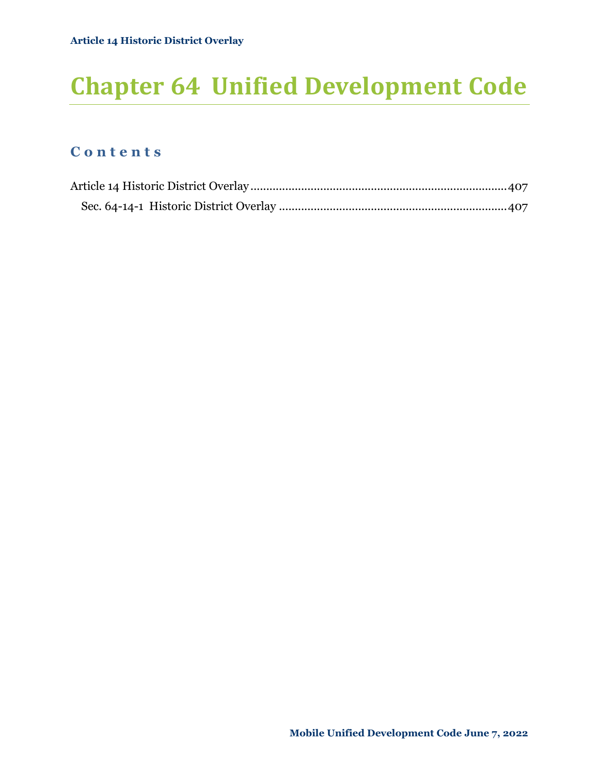# **Chapter 64 Unified Development Code**

### **C o n t e n t s**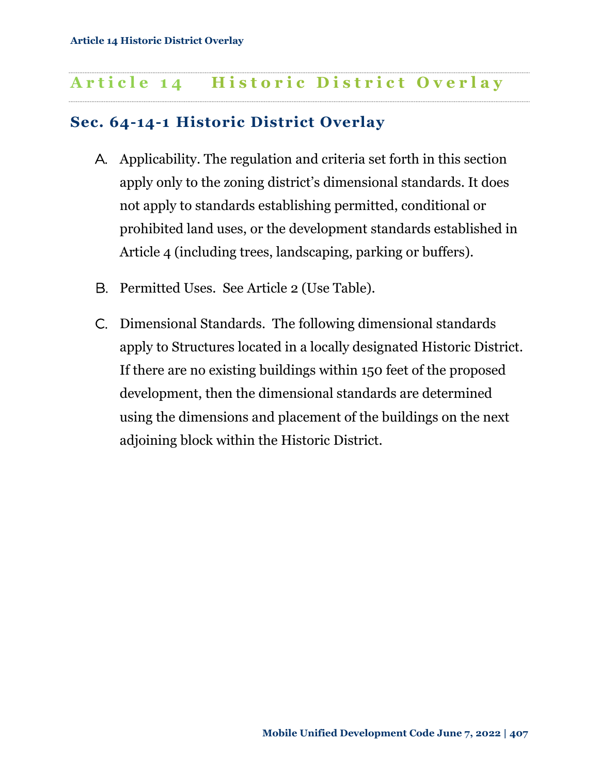## <span id="page-1-0"></span>Article 14 **Historic District Overlay**

## <span id="page-1-1"></span>**Sec. 64-14-1 Historic District Overlay**

- A. Applicability. The regulation and criteria set forth in this section apply only to the zoning district's dimensional standards. It does not apply to standards establishing permitted, conditional or prohibited land uses, or the development standards established in Article 4 (including trees, landscaping, parking or buffers).
- B. Permitted Uses. See Article 2 (Use Table).
- C. Dimensional Standards. The following dimensional standards apply to Structures located in a locally designated Historic District. If there are no existing buildings within 150 feet of the proposed development, then the dimensional standards are determined using the dimensions and placement of the buildings on the next adjoining block within the Historic District.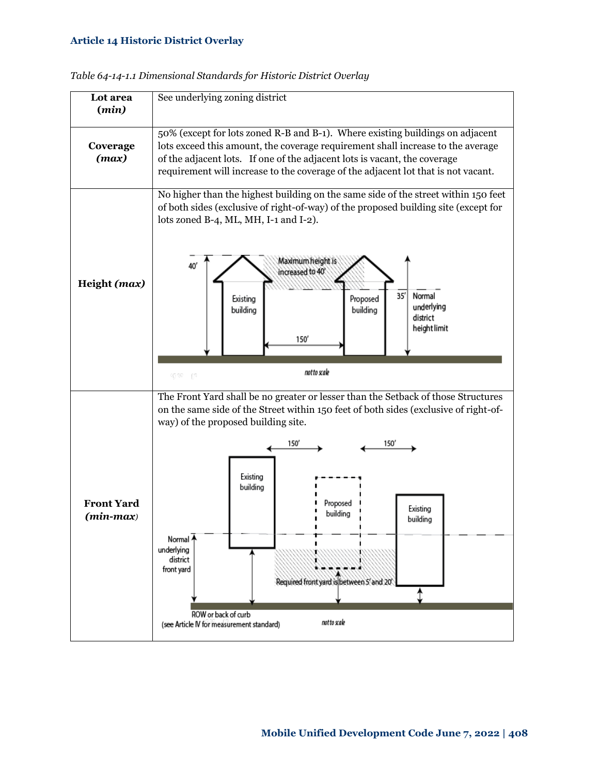#### **Article 14 Historic District Overlay**



*Table 64-14-1.1 Dimensional Standards for Historic District Overlay*